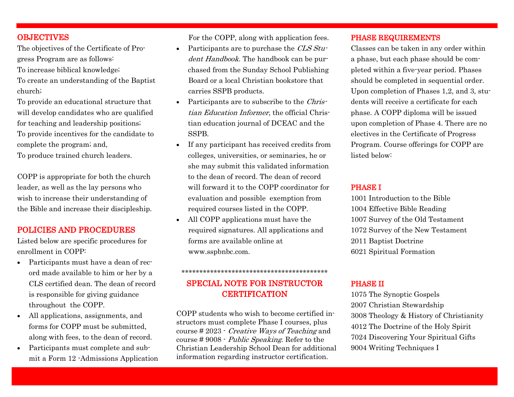# **OBJECTIVES**

The objectives of the Certificate of Progress Program are as follows: To increase biblical knowledge; To create an understanding of the Baptist church;

To provide an educational structure that will develop candidates who are qualified for teaching and leadership positions; To provide incentives for the candidate to complete the program; and, To produce trained church leaders.

COPP is appropriate for both the church leader, as well as the lay persons who wish to increase their understanding of the Bible and increase their discipleship.

## POLICIES AND PROCEDURES

Listed below are specific procedures for enrollment in COPP:

- Participants must have a dean of record made available to him or her by a CLS certified dean. The dean of record is responsible for giving guidance throughout the COPP.
- All applications, assignments, and forms for COPP must be submitted, along with fees, to the dean of record.
- Participants must complete and submit a Form 12 -Admissions Application

For the COPP, along with application fees.

- Participants are to purchase the CLS Student Handbook. The handbook can be purchased from the Sunday School Publishing Board or a local Christian bookstore that carries SSPB products.
- Participants are to subscribe to the Christian Education Informer, the official Christian education journal of DCEAC and the SSPB.
- If any participant has received credits from colleges, universities, or seminaries, he or she may submit this validated information to the dean of record. The dean of record will forward it to the COPP coordinator for evaluation and possible exemption from required courses listed in the COPP.
- All COPP applications must have the required signatures. All applications and forms are available online at www.sspbnbc.com.

# SPECIAL NOTE FOR INSTRUCTOR **CERTIFICATION**

\*\*\*\*\*\*\*\*\*\*\*\*\*\*\*\*\*\*\*\*\*\*\*\*\*\*\*\*\*\*\*\*\*\*\*\*\*\*\*\*\*

COPP students who wish to become certified instructors must complete Phase I courses, plus course # 2023 - Creative Ways of Teaching and course # 9008 - Public Speaking. Refer to the Christian Leadership School Dean for additional information regarding instructor certification.

### PHASE REQUIREMENTS

Classes can be taken in any order within a phase, but each phase should be completed within a five-year period. Phases should be completed in sequential order. Upon completion of Phases 1,2, and 3, students will receive a certificate for each phase. A COPP diploma will be issued upon completion of Phase 4. There are no electives in the Certificate of Progress Program. Course offerings for COPP are listed below:

#### PHASE I

1001 Introduction to the Bible 1004 Effective Bible Reading 1007 Survey of the Old Testament 1072 Survey of the New Testament 2011 Baptist Doctrine 6021 Spiritual Formation

### PHASE II

1075 The Synoptic Gospels 2007 Christian Stewardship 3008 Theology & History of Christianity 4012 The Doctrine of the Holy Spirit 7024 Discovering Your Spiritual Gifts 9004 Writing Techniques I